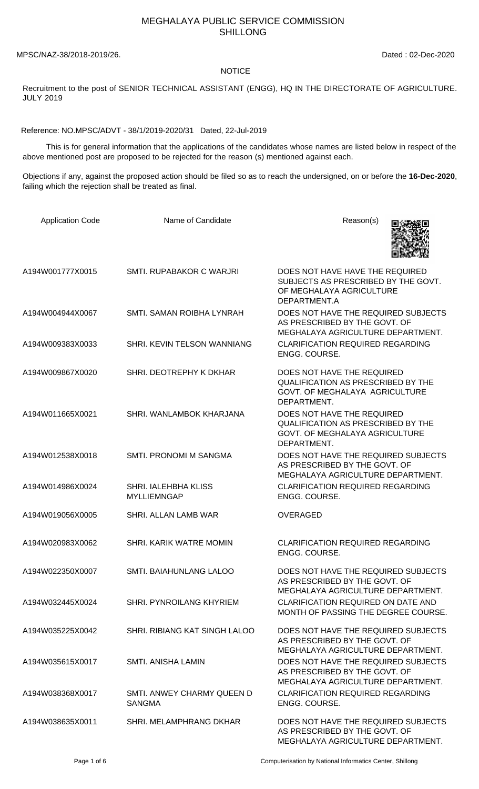## MEGHALAYA PUBLIC SERVICE COMMISSION SHILLONG

MPSC/NAZ-38/2018-2019/26. Dated : 02-Dec-2020

## NOTICE

Recruitment to the post of SENIOR TECHNICAL ASSISTANT (ENGG), HQ IN THE DIRECTORATE OF AGRICULTURE. JULY 2019

Reference: NO.MPSC/ADVT - 38/1/2019-2020/31 Dated, 22-Jul-2019

 This is for general information that the applications of the candidates whose names are listed below in respect of the above mentioned post are proposed to be rejected for the reason (s) mentioned against each.

Objections if any, against the proposed action should be filed so as to reach the undersigned, on or before the **16-Dec-2020**, failing which the rejection shall be treated as final.

| <b>Application Code</b> | Name of Candidate                           | Reason(s)                                                                                                                |
|-------------------------|---------------------------------------------|--------------------------------------------------------------------------------------------------------------------------|
| A194W001777X0015        | SMTI, RUPABAKOR C WARJRI                    | DOES NOT HAVE HAVE THE REQUIRED<br>SUBJECTS AS PRESCRIBED BY THE GOVT.<br>OF MEGHALAYA AGRICULTURE<br>DEPARTMENT.A       |
| A194W004944X0067        | SMTI. SAMAN ROIBHA LYNRAH                   | DOES NOT HAVE THE REQUIRED SUBJECTS<br>AS PRESCRIBED BY THE GOVT. OF<br>MEGHALAYA AGRICULTURE DEPARTMENT.                |
| A194W009383X0033        | SHRI. KEVIN TELSON WANNIANG                 | <b>CLARIFICATION REQUIRED REGARDING</b><br>ENGG. COURSE.                                                                 |
| A194W009867X0020        | SHRI. DEOTREPHY K DKHAR                     | DOES NOT HAVE THE REQUIRED<br><b>QUALIFICATION AS PRESCRIBED BY THE</b><br>GOVT. OF MEGHALAYA AGRICULTURE<br>DEPARTMENT. |
| A194W011665X0021        | SHRI. WANLAMBOK KHARJANA                    | DOES NOT HAVE THE REQUIRED<br><b>QUALIFICATION AS PRESCRIBED BY THE</b><br>GOVT. OF MEGHALAYA AGRICULTURE<br>DEPARTMENT. |
| A194W012538X0018        | SMTI. PRONOMI M SANGMA                      | DOES NOT HAVE THE REQUIRED SUBJECTS<br>AS PRESCRIBED BY THE GOVT. OF<br>MEGHALAYA AGRICULTURE DEPARTMENT.                |
| A194W014986X0024        | SHRI. IALEHBHA KLISS<br><b>MYLLIEMNGAP</b>  | <b>CLARIFICATION REQUIRED REGARDING</b><br>ENGG. COURSE.                                                                 |
| A194W019056X0005        | SHRI. ALLAN LAMB WAR                        | <b>OVERAGED</b>                                                                                                          |
| A194W020983X0062        | SHRI. KARIK WATRE MOMIN                     | <b>CLARIFICATION REQUIRED REGARDING</b><br>ENGG. COURSE.                                                                 |
| A194W022350X0007        | SMTI. BAIAHUNLANG LALOO                     | DOES NOT HAVE THE REQUIRED SUBJECTS<br>AS PRESCRIBED BY THE GOVT. OF<br>MEGHALAYA AGRICULTURE DEPARTMENT.                |
| A194W032445X0024        | SHRI. PYNROILANG KHYRIEM                    | CLARIFICATION REQUIRED ON DATE AND<br>MONTH OF PASSING THE DEGREE COURSE.                                                |
| A194W035225X0042        | SHRI. RIBIANG KAT SINGH LALOO               | DOES NOT HAVE THE REQUIRED SUBJECTS<br>AS PRESCRIBED BY THE GOVT. OF<br>MEGHALAYA AGRICULTURE DEPARTMENT.                |
| A194W035615X0017        | SMTI. ANISHA LAMIN                          | DOES NOT HAVE THE REQUIRED SUBJECTS<br>AS PRESCRIBED BY THE GOVT. OF<br>MEGHALAYA AGRICULTURE DEPARTMENT.                |
| A194W038368X0017        | SMTI. ANWEY CHARMY QUEEN D<br><b>SANGMA</b> | <b>CLARIFICATION REQUIRED REGARDING</b><br>ENGG. COURSE.                                                                 |
| A194W038635X0011        | SHRI. MELAMPHRANG DKHAR                     | DOES NOT HAVE THE REQUIRED SUBJECTS<br>AS PRESCRIBED BY THE GOVT. OF<br>MEGHALAYA AGRICULTURE DEPARTMENT.                |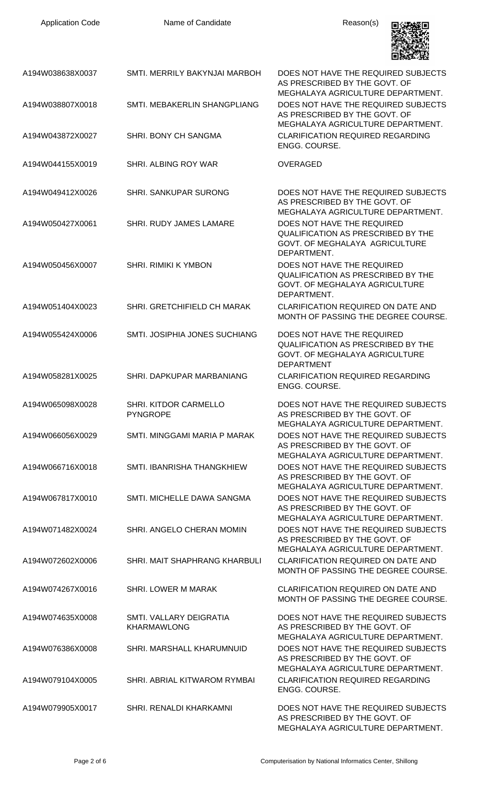| <b>Application Code</b> | Name of Candidate                             | Reason(s)                                                                                                                                      |
|-------------------------|-----------------------------------------------|------------------------------------------------------------------------------------------------------------------------------------------------|
| A194W038638X0037        | SMTI. MERRILY BAKYNJAI MARBOH                 | DOES NOT HAVE THE REQUIRED SUBJECTS<br>AS PRESCRIBED BY THE GOVT. OF                                                                           |
| A194W038807X0018        | SMTI. MEBAKERLIN SHANGPLIANG                  | MEGHALAYA AGRICULTURE DEPARTMENT.<br>DOES NOT HAVE THE REQUIRED SUBJECTS<br>AS PRESCRIBED BY THE GOVT. OF<br>MEGHALAYA AGRICULTURE DEPARTMENT. |
| A194W043872X0027        | SHRI. BONY CH SANGMA                          | <b>CLARIFICATION REQUIRED REGARDING</b><br>ENGG. COURSE.                                                                                       |
| A194W044155X0019        | SHRI. ALBING ROY WAR                          | <b>OVERAGED</b>                                                                                                                                |
| A194W049412X0026        | <b>SHRI. SANKUPAR SURONG</b>                  | DOES NOT HAVE THE REQUIRED SUBJECTS<br>AS PRESCRIBED BY THE GOVT. OF<br>MEGHALAYA AGRICULTURE DEPARTMENT.                                      |
| A194W050427X0061        | SHRI. RUDY JAMES LAMARE                       | DOES NOT HAVE THE REQUIRED<br><b>QUALIFICATION AS PRESCRIBED BY THE</b><br>GOVT. OF MEGHALAYA AGRICULTURE<br>DEPARTMENT.                       |
| A194W050456X0007        | <b>SHRI. RIMIKI K YMBON</b>                   | DOES NOT HAVE THE REQUIRED<br><b>QUALIFICATION AS PRESCRIBED BY THE</b><br>GOVT. OF MEGHALAYA AGRICULTURE<br>DEPARTMENT.                       |
| A194W051404X0023        | SHRI. GRETCHIFIELD CH MARAK                   | <b>CLARIFICATION REQUIRED ON DATE AND</b><br>MONTH OF PASSING THE DEGREE COURSE.                                                               |
| A194W055424X0006        | SMTI, JOSIPHIA JONES SUCHIANG                 | DOES NOT HAVE THE REQUIRED<br><b>QUALIFICATION AS PRESCRIBED BY THE</b><br>GOVT. OF MEGHALAYA AGRICULTURE<br><b>DEPARTMENT</b>                 |
| A194W058281X0025        | SHRI. DAPKUPAR MARBANIANG                     | <b>CLARIFICATION REQUIRED REGARDING</b><br>ENGG. COURSE.                                                                                       |
| A194W065098X0028        | SHRI. KITDOR CARMELLO<br><b>PYNGROPE</b>      | DOES NOT HAVE THE REQUIRED SUBJECTS<br>AS PRESCRIBED BY THE GOVT. OF<br>MEGHALAYA AGRICULTURE DEPARTMENT.                                      |
| A194W066056X0029        | SMTI. MINGGAMI MARIA P MARAK                  | DOES NOT HAVE THE REQUIRED SUBJECTS<br>AS PRESCRIBED BY THE GOVT. OF<br>MEGHALAYA AGRICULTURE DEPARTMENT.                                      |
| A194W066716X0018        | SMTI. IBANRISHA THANGKHIEW                    | DOES NOT HAVE THE REQUIRED SUBJECTS<br>AS PRESCRIBED BY THE GOVT. OF<br>MEGHALAYA AGRICULTURE DEPARTMENT.                                      |
| A194W067817X0010        | SMTI. MICHELLE DAWA SANGMA                    | DOES NOT HAVE THE REQUIRED SUBJECTS<br>AS PRESCRIBED BY THE GOVT. OF<br>MEGHALAYA AGRICULTURE DEPARTMENT.                                      |
| A194W071482X0024        | SHRI. ANGELO CHERAN MOMIN                     | DOES NOT HAVE THE REQUIRED SUBJECTS<br>AS PRESCRIBED BY THE GOVT. OF<br>MEGHALAYA AGRICULTURE DEPARTMENT.                                      |
| A194W072602X0006        | SHRI. MAIT SHAPHRANG KHARBULI                 | <b>CLARIFICATION REQUIRED ON DATE AND</b><br>MONTH OF PASSING THE DEGREE COURSE.                                                               |
| A194W074267X0016        | <b>SHRI. LOWER M MARAK</b>                    | <b>CLARIFICATION REQUIRED ON DATE AND</b><br>MONTH OF PASSING THE DEGREE COURSE.                                                               |
| A194W074635X0008        | SMTI. VALLARY DEIGRATIA<br><b>KHARMAWLONG</b> | DOES NOT HAVE THE REQUIRED SUBJECTS<br>AS PRESCRIBED BY THE GOVT. OF<br>MEGHALAYA AGRICULTURE DEPARTMENT.                                      |
| A194W076386X0008        | SHRI. MARSHALL KHARUMNUID                     | DOES NOT HAVE THE REQUIRED SUBJECTS<br>AS PRESCRIBED BY THE GOVT. OF<br>MEGHALAYA AGRICULTURE DEPARTMENT.                                      |
| A194W079104X0005        | SHRI, ABRIAL KITWAROM RYMBAI                  | <b>CLARIFICATION REQUIRED REGARDING</b><br>ENGG. COURSE.                                                                                       |
| A194W079905X0017        | <b>SHRI, RENALDI KHARKAMNI</b>                | DOES NOT HAVE THE REQUIRED SUBJECTS<br>AS PRESCRIBED BY THE GOVT. OF<br>MEGHALAYA AGRICULTURE DEPARTMENT.                                      |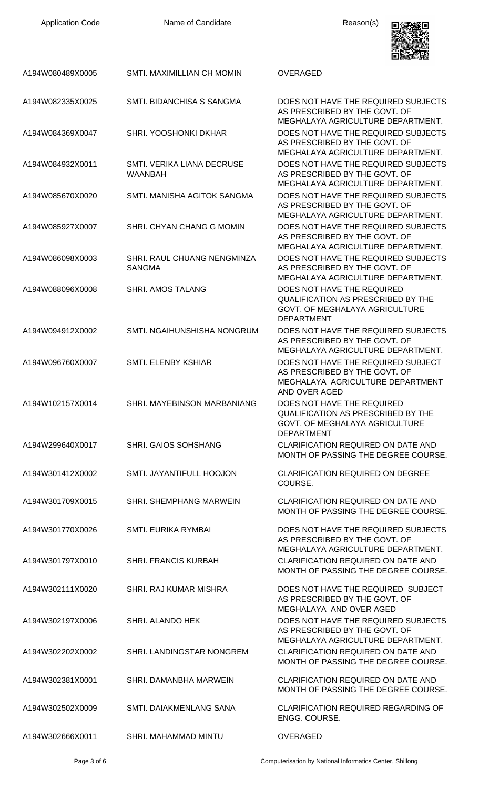| <b>Application Code</b> | Name of Candidate                            | Reason(s)                                                                                                                                      |
|-------------------------|----------------------------------------------|------------------------------------------------------------------------------------------------------------------------------------------------|
| A194W080489X0005        | SMTI. MAXIMILLIAN CH MOMIN                   | <b>OVERAGED</b>                                                                                                                                |
| A194W082335X0025        | SMTI. BIDANCHISA S SANGMA                    | DOES NOT HAVE THE REQUIRED SUBJECTS<br>AS PRESCRIBED BY THE GOVT. OF                                                                           |
| A194W084369X0047        | SHRI. YOOSHONKI DKHAR                        | MEGHALAYA AGRICULTURE DEPARTMENT.<br>DOES NOT HAVE THE REQUIRED SUBJECTS<br>AS PRESCRIBED BY THE GOVT. OF<br>MEGHALAYA AGRICULTURE DEPARTMENT. |
| A194W084932X0011        | SMTI. VERIKA LIANA DECRUSE<br><b>WAANBAH</b> | DOES NOT HAVE THE REQUIRED SUBJECTS<br>AS PRESCRIBED BY THE GOVT. OF<br>MEGHALAYA AGRICULTURE DEPARTMENT.                                      |
| A194W085670X0020        | SMTI. MANISHA AGITOK SANGMA                  | DOES NOT HAVE THE REQUIRED SUBJECTS<br>AS PRESCRIBED BY THE GOVT. OF<br>MEGHALAYA AGRICULTURE DEPARTMENT.                                      |
| A194W085927X0007        | SHRI. CHYAN CHANG G MOMIN                    | DOES NOT HAVE THE REQUIRED SUBJECTS<br>AS PRESCRIBED BY THE GOVT. OF<br>MEGHALAYA AGRICULTURE DEPARTMENT.                                      |
| A194W086098X0003        | SHRI. RAUL CHUANG NENGMINZA<br><b>SANGMA</b> | DOES NOT HAVE THE REQUIRED SUBJECTS<br>AS PRESCRIBED BY THE GOVT. OF<br>MEGHALAYA AGRICULTURE DEPARTMENT.                                      |
| A194W088096X0008        | <b>SHRI. AMOS TALANG</b>                     | DOES NOT HAVE THE REQUIRED<br><b>QUALIFICATION AS PRESCRIBED BY THE</b><br>GOVT. OF MEGHALAYA AGRICULTURE<br><b>DEPARTMENT</b>                 |
| A194W094912X0002        | SMTI. NGAIHUNSHISHA NONGRUM                  | DOES NOT HAVE THE REQUIRED SUBJECTS<br>AS PRESCRIBED BY THE GOVT. OF<br>MEGHALAYA AGRICULTURE DEPARTMENT.                                      |
| A194W096760X0007        | SMTL ELENBY KSHIAR                           | DOES NOT HAVE THE REQUIRED SUBJECT<br>AS PRESCRIBED BY THE GOVT. OF<br>MEGHALAYA AGRICULTURE DEPARTMENT<br>AND OVER AGED                       |
| A194W102157X0014        | SHRI. MAYEBINSON MARBANIANG                  | DOES NOT HAVE THE REQUIRED<br>QUALIFICATION AS PRESCRIBED BY THE<br>GOVT. OF MEGHALAYA AGRICULTURE<br><b>DEPARTMENT</b>                        |
| A194W299640X0017        | SHRI. GAIOS SOHSHANG                         | <b>CLARIFICATION REQUIRED ON DATE AND</b><br>MONTH OF PASSING THE DEGREE COURSE.                                                               |
| A194W301412X0002        | SMTI. JAYANTIFULL HOOJON                     | <b>CLARIFICATION REQUIRED ON DEGREE</b><br>COURSE.                                                                                             |
| A194W301709X0015        | SHRI. SHEMPHANG MARWEIN                      | <b>CLARIFICATION REQUIRED ON DATE AND</b><br>MONTH OF PASSING THE DEGREE COURSE.                                                               |
| A194W301770X0026        | SMTI. EURIKA RYMBAI                          | DOES NOT HAVE THE REQUIRED SUBJECTS<br>AS PRESCRIBED BY THE GOVT. OF<br>MEGHALAYA AGRICULTURE DEPARTMENT.                                      |
| A194W301797X0010        | <b>SHRI. FRANCIS KURBAH</b>                  | <b>CLARIFICATION REQUIRED ON DATE AND</b><br>MONTH OF PASSING THE DEGREE COURSE.                                                               |
| A194W302111X0020        | SHRI. RAJ KUMAR MISHRA                       | DOES NOT HAVE THE REQUIRED SUBJECT<br>AS PRESCRIBED BY THE GOVT. OF<br>MEGHALAYA AND OVER AGED                                                 |
| A194W302197X0006        | <b>SHRI. ALANDO HEK</b>                      | DOES NOT HAVE THE REQUIRED SUBJECTS<br>AS PRESCRIBED BY THE GOVT. OF<br>MEGHALAYA AGRICULTURE DEPARTMENT.                                      |
| A194W302202X0002        | SHRI. LANDINGSTAR NONGREM                    | CLARIFICATION REQUIRED ON DATE AND<br>MONTH OF PASSING THE DEGREE COURSE.                                                                      |
| A194W302381X0001        | SHRI. DAMANBHA MARWEIN                       | <b>CLARIFICATION REQUIRED ON DATE AND</b><br>MONTH OF PASSING THE DEGREE COURSE.                                                               |
| A194W302502X0009        | SMTI. DAIAKMENLANG SANA                      | <b>CLARIFICATION REQUIRED REGARDING OF</b><br>ENGG. COURSE.                                                                                    |
| A194W302666X0011        | <b>SHRI. MAHAMMAD MINTU</b>                  | <b>OVERAGED</b>                                                                                                                                |

Page 3 of 6 Computerisation by National Informatics Center, Shillong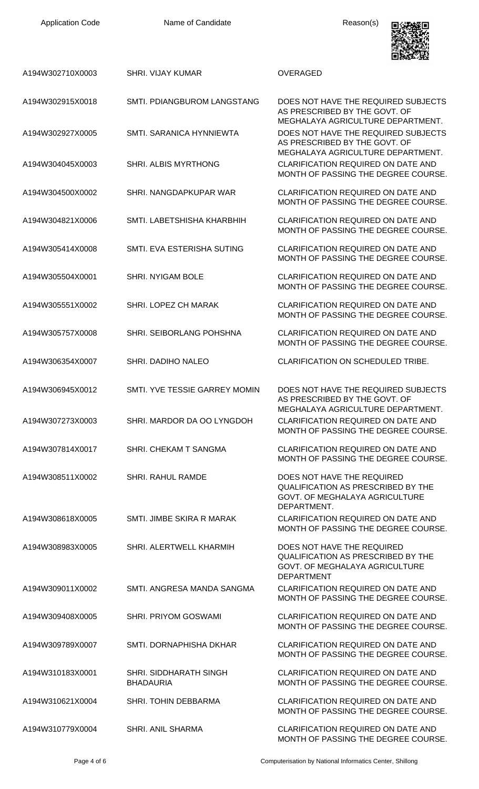Application Code **Name of Candidate Name of Candidate Reason(s)** 



|                  |                                                   | ------                                                                                                                                         |
|------------------|---------------------------------------------------|------------------------------------------------------------------------------------------------------------------------------------------------|
| A194W302710X0003 | <b>SHRI. VIJAY KUMAR</b>                          | <b>OVERAGED</b>                                                                                                                                |
| A194W302915X0018 | SMTI. PDIANGBUROM LANGSTANG                       | DOES NOT HAVE THE REQUIRED SUBJECTS<br>AS PRESCRIBED BY THE GOVT. OF                                                                           |
| A194W302927X0005 | SMTI, SARANICA HYNNIEWTA                          | MEGHALAYA AGRICULTURE DEPARTMENT.<br>DOES NOT HAVE THE REQUIRED SUBJECTS<br>AS PRESCRIBED BY THE GOVT. OF<br>MEGHALAYA AGRICULTURE DEPARTMENT. |
| A194W304045X0003 | SHRI. ALBIS MYRTHONG                              | <b>CLARIFICATION REQUIRED ON DATE AND</b><br>MONTH OF PASSING THE DEGREE COURSE.                                                               |
| A194W304500X0002 | SHRI. NANGDAPKUPAR WAR                            | CLARIFICATION REQUIRED ON DATE AND<br>MONTH OF PASSING THE DEGREE COURSE.                                                                      |
| A194W304821X0006 | SMTI. LABETSHISHA KHARBHIH                        | <b>CLARIFICATION REQUIRED ON DATE AND</b><br>MONTH OF PASSING THE DEGREE COURSE.                                                               |
| A194W305414X0008 | SMTI. EVA ESTERISHA SUTING                        | <b>CLARIFICATION REQUIRED ON DATE AND</b><br>MONTH OF PASSING THE DEGREE COURSE.                                                               |
| A194W305504X0001 | <b>SHRI. NYIGAM BOLE</b>                          | CLARIFICATION REQUIRED ON DATE AND<br>MONTH OF PASSING THE DEGREE COURSE.                                                                      |
| A194W305551X0002 | SHRI. LOPEZ CH MARAK                              | <b>CLARIFICATION REQUIRED ON DATE AND</b><br>MONTH OF PASSING THE DEGREE COURSE.                                                               |
| A194W305757X0008 | SHRI. SEIBORLANG POHSHNA                          | CLARIFICATION REQUIRED ON DATE AND<br>MONTH OF PASSING THE DEGREE COURSE.                                                                      |
| A194W306354X0007 | SHRI. DADIHO NALEO                                | <b>CLARIFICATION ON SCHEDULED TRIBE.</b>                                                                                                       |
| A194W306945X0012 | SMTI. YVE TESSIE GARREY MOMIN                     | DOES NOT HAVE THE REQUIRED SUBJECTS<br>AS PRESCRIBED BY THE GOVT. OF<br>MEGHALAYA AGRICULTURE DEPARTMENT.                                      |
| A194W307273X0003 | SHRI. MARDOR DA OO LYNGDOH                        | CLARIFICATION REQUIRED ON DATE AND<br>MONTH OF PASSING THE DEGREE COURSE.                                                                      |
| A194W307814X0017 | SHRI. CHEKAM T SANGMA                             | CLARIFICATION REQUIRED ON DATE AND<br>MONTH OF PASSING THE DEGREE COURSE.                                                                      |
| A194W308511X0002 | <b>SHRI. RAHUL RAMDE</b>                          | DOES NOT HAVE THE REQUIRED<br><b>QUALIFICATION AS PRESCRIBED BY THE</b><br>GOVT. OF MEGHALAYA AGRICULTURE<br>DEPARTMENT.                       |
| A194W308618X0005 | SMTI. JIMBE SKIRA R MARAK                         | <b>CLARIFICATION REQUIRED ON DATE AND</b><br>MONTH OF PASSING THE DEGREE COURSE.                                                               |
| A194W308983X0005 | SHRI. ALERTWELL KHARMIH                           | DOES NOT HAVE THE REQUIRED<br><b>QUALIFICATION AS PRESCRIBED BY THE</b><br>GOVT. OF MEGHALAYA AGRICULTURE<br><b>DEPARTMENT</b>                 |
| A194W309011X0002 | SMTI. ANGRESA MANDA SANGMA                        | CLARIFICATION REQUIRED ON DATE AND<br>MONTH OF PASSING THE DEGREE COURSE.                                                                      |
| A194W309408X0005 | <b>SHRI. PRIYOM GOSWAMI</b>                       | <b>CLARIFICATION REQUIRED ON DATE AND</b><br>MONTH OF PASSING THE DEGREE COURSE.                                                               |
| A194W309789X0007 | SMTI. DORNAPHISHA DKHAR                           | <b>CLARIFICATION REQUIRED ON DATE AND</b><br>MONTH OF PASSING THE DEGREE COURSE.                                                               |
| A194W310183X0001 | <b>SHRI. SIDDHARATH SINGH</b><br><b>BHADAURIA</b> | <b>CLARIFICATION REQUIRED ON DATE AND</b><br>MONTH OF PASSING THE DEGREE COURSE.                                                               |
| A194W310621X0004 | <b>SHRI. TOHIN DEBBARMA</b>                       | <b>CLARIFICATION REQUIRED ON DATE AND</b><br>MONTH OF PASSING THE DEGREE COURSE.                                                               |
| A194W310779X0004 | <b>SHRI. ANIL SHARMA</b>                          | <b>CLARIFICATION REQUIRED ON DATE AND</b><br>MONTH OF PASSING THE DEGREE COURSE.                                                               |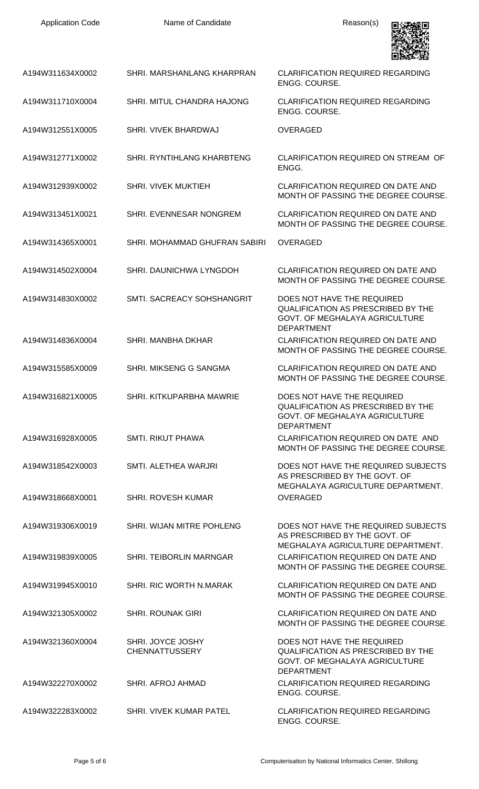| <b>Application Code</b> | Name of Candidate                          | Reason(s)                                                                                                                             |
|-------------------------|--------------------------------------------|---------------------------------------------------------------------------------------------------------------------------------------|
| A194W311634X0002        | SHRI. MARSHANLANG KHARPRAN                 | <b>CLARIFICATION REQUIRED REGARDING</b><br>ENGG. COURSE.                                                                              |
| A194W311710X0004        | SHRI. MITUL CHANDRA HAJONG                 | <b>CLARIFICATION REQUIRED REGARDING</b><br>ENGG. COURSE.                                                                              |
| A194W312551X0005        | SHRI. VIVEK BHARDWAJ                       | <b>OVERAGED</b>                                                                                                                       |
| A194W312771X0002        | SHRI. RYNTIHLANG KHARBTENG                 | CLARIFICATION REQUIRED ON STREAM OF<br>ENGG.                                                                                          |
| A194W312939X0002        | SHRI. VIVEK MUKTIEH                        | CLARIFICATION REQUIRED ON DATE AND<br>MONTH OF PASSING THE DEGREE COURSE.                                                             |
| A194W313451X0021        | SHRI. EVENNESAR NONGREM                    | <b>CLARIFICATION REQUIRED ON DATE AND</b><br>MONTH OF PASSING THE DEGREE COURSE.                                                      |
| A194W314365X0001        | SHRI. MOHAMMAD GHUFRAN SABIRI              | <b>OVERAGED</b>                                                                                                                       |
| A194W314502X0004        | SHRI. DAUNICHWA LYNGDOH                    | CLARIFICATION REQUIRED ON DATE AND<br>MONTH OF PASSING THE DEGREE COURSE.                                                             |
| A194W314830X0002        | SMTI. SACREACY SOHSHANGRIT                 | DOES NOT HAVE THE REQUIRED<br><b>QUALIFICATION AS PRESCRIBED BY THE</b><br>GOVT. OF MEGHALAYA AGRICULTURE<br><b>DEPARTMENT</b>        |
| A194W314836X0004        | <b>SHRI. MANBHA DKHAR</b>                  | <b>CLARIFICATION REQUIRED ON DATE AND</b><br>MONTH OF PASSING THE DEGREE COURSE.                                                      |
| A194W315585X0009        | SHRI. MIKSENG G SANGMA                     | CLARIFICATION REQUIRED ON DATE AND<br>MONTH OF PASSING THE DEGREE COURSE.                                                             |
| A194W316821X0005        | SHRI. KITKUPARBHA MAWRIE                   | DOES NOT HAVE THE REQUIRED<br><b>QUALIFICATION AS PRESCRIBED BY THE</b><br><b>GOVT. OF MEGHALAYA AGRICULTURE</b><br><b>DEPARTMENT</b> |
| A194W316928X0005        | <b>SMTI. RIKUT PHAWA</b>                   | CLARIFICATION REQUIRED ON DATE AND<br>MONTH OF PASSING THE DEGREE COURSE.                                                             |
| A194W318542X0003        | SMTI. ALETHEA WARJRI                       | DOES NOT HAVE THE REQUIRED SUBJECTS<br>AS PRESCRIBED BY THE GOVT. OF<br>MEGHALAYA AGRICULTURE DEPARTMENT.                             |
| A194W318668X0001        | <b>SHRI. ROVESH KUMAR</b>                  | <b>OVERAGED</b>                                                                                                                       |
| A194W319306X0019        | SHRI. WIJAN MITRE POHLENG                  | DOES NOT HAVE THE REQUIRED SUBJECTS<br>AS PRESCRIBED BY THE GOVT. OF<br>MEGHALAYA AGRICULTURE DEPARTMENT.                             |
| A194W319839X0005        | SHRI. TEIBORLIN MARNGAR                    | <b>CLARIFICATION REQUIRED ON DATE AND</b><br>MONTH OF PASSING THE DEGREE COURSE.                                                      |
| A194W319945X0010        | SHRI. RIC WORTH N.MARAK                    | CLARIFICATION REQUIRED ON DATE AND<br>MONTH OF PASSING THE DEGREE COURSE.                                                             |
| A194W321305X0002        | <b>SHRI. ROUNAK GIRI</b>                   | CLARIFICATION REQUIRED ON DATE AND<br>MONTH OF PASSING THE DEGREE COURSE.                                                             |
| A194W321360X0004        | SHRI. JOYCE JOSHY<br><b>CHENNATTUSSERY</b> | DOES NOT HAVE THE REQUIRED<br><b>QUALIFICATION AS PRESCRIBED BY THE</b><br>GOVT. OF MEGHALAYA AGRICULTURE<br><b>DEPARTMENT</b>        |
| A194W322270X0002        | SHRI. AFROJ AHMAD                          | <b>CLARIFICATION REQUIRED REGARDING</b><br>ENGG. COURSE.                                                                              |
| A194W322283X0002        | SHRI. VIVEK KUMAR PATEL                    | <b>CLARIFICATION REQUIRED REGARDING</b><br>ENGG. COURSE.                                                                              |